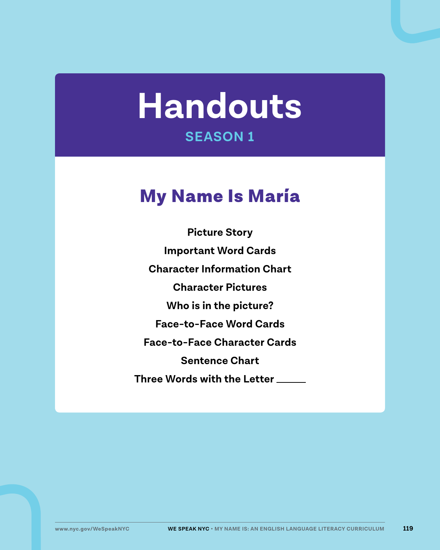# **Handouts SEASON 1**

## My Name Is María

**Picture Story Important Word Cards Character Information Chart Character Pictures Who is in the picture? Face-to-Face Word Cards Face-to-Face Character Cards Sentence Chart Three Words with the Letter**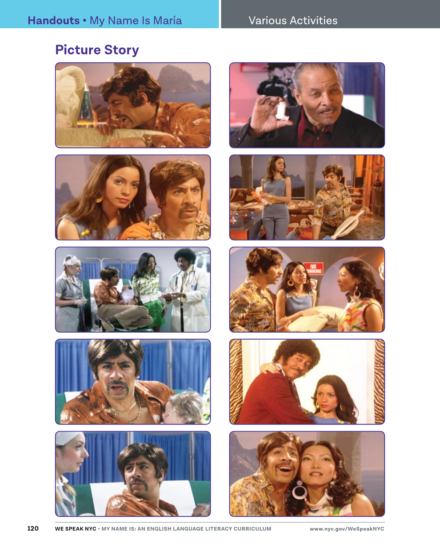#### Various Activities

### **Picture Story**



















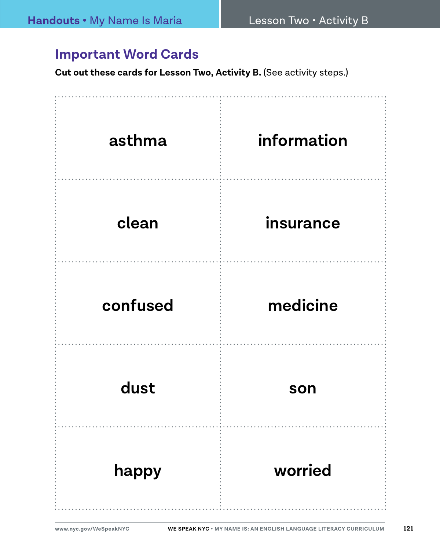#### **Important Word Cards**

**Cut out these cards for Lesson Two, Activity B. (See activity steps.)** 

| asthma   | information |
|----------|-------------|
| clean    | insurance   |
| confused | medicine    |
| dust     | son         |
| happy    | worried     |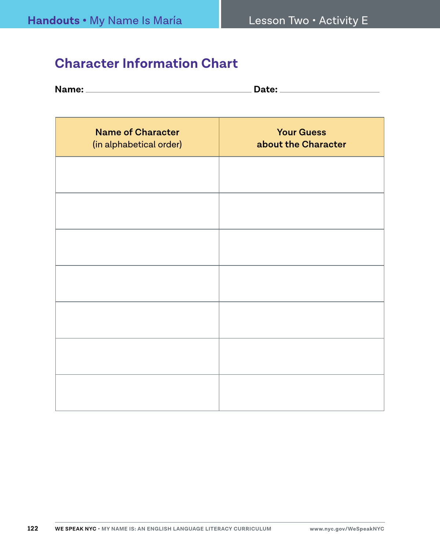#### **Character Information Chart**

| Name: |  |
|-------|--|
|       |  |

| <b>Name of Character</b><br>(in alphabetical order) | <b>Your Guess</b><br>about the Character |
|-----------------------------------------------------|------------------------------------------|
|                                                     |                                          |
|                                                     |                                          |
|                                                     |                                          |
|                                                     |                                          |
|                                                     |                                          |
|                                                     |                                          |
|                                                     |                                          |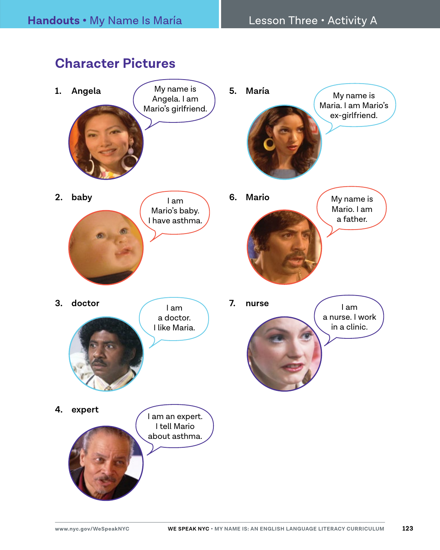#### **Character Pictures**

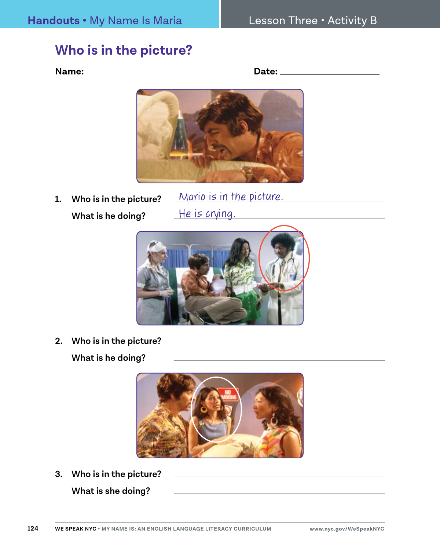#### **Who is in the picture?**

**Name: Date:** 



**1. Who is in the picture? What is he doing?**

Mario is in the picture. He is crying.



**2. Who is in the picture?** 

**What is he doing?**



**3. Who is in the picture?** 

**What is she doing?**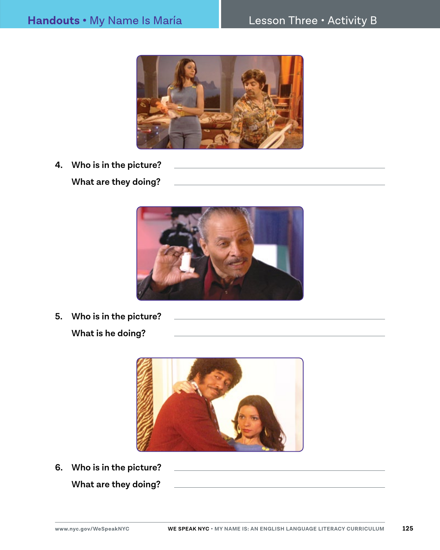#### **Handouts •** My Name Is María Resson Three • Activity B و H<mark>andouts •</mark> My Name Is María



**4. Who is in the picture? What are they doing?**



**5. Who is in the picture?** 

**What is he doing?**



**6. Who is in the picture? What are they doing?**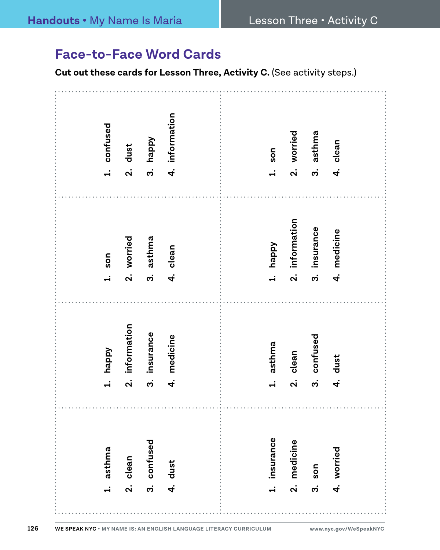#### **Face-to-Face Word Cards**

**Cut out these cards for Lesson Three, Activity C.** (See activity steps.)

| 1. confused         | dust<br>ລ່                             | happy<br>က     | information<br>$\vec{r}$ |  | son<br>$\div$          | 2. worried            | asthma<br>က   | clean<br>4.    |  |
|---------------------|----------------------------------------|----------------|--------------------------|--|------------------------|-----------------------|---------------|----------------|--|
| son<br>$\ddot{ }$   | 2. worried                             | asthma<br>က    | 4. clean                 |  | happy<br>$\ddot{ }$    | information<br>ລ່     | 3. insurance  | medicine<br>4. |  |
| happy<br>$\ddot{ }$ | information<br>$\overline{\mathbf{a}}$ | insurance<br>က | medicine<br>4.           |  | asthma<br>$\div$       | clean<br>$\mathbf{a}$ | confused<br>က | dust<br>4.     |  |
| 1. asthma           | 2. clean                               | 3. confused    | 4. dust                  |  | insurance<br>$\vec{r}$ | medicine<br>ี<br>2.   | son<br>ო.<br> | 4. worried     |  |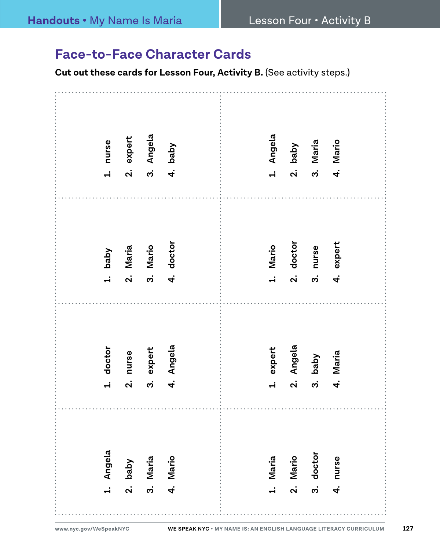#### **Face-to-Face Character Cards**

**Cut out these cards for Lesson Four, Activity B. (See activity steps.)** 

| 1. nurse                 | expert<br>$\mathbf{a}$           | Angela<br>ຕ $\dot{\mathbf{c}}$ | Vqeq<br>$\vec{r}$ |  | Angela<br>$\div$        | baby<br>$\dot{\mathbf{a}}$ | Maria<br>ကဲ     | Mario<br>$\vec{r}$ |  |
|--------------------------|----------------------------------|--------------------------------|-------------------|--|-------------------------|----------------------------|-----------------|--------------------|--|
| 1. baby                  | Maria<br>$\overline{\mathbf{a}}$ | Mario<br>.<br>ო                | 4. doctor         |  | 1. Mario                | 2. doctor                  | nurse<br>ო.<br> | 4. expert          |  |
| 1. doctor                | nurse<br>$\mathbf{a}$            | expert<br>ო.<br>               | 4. Angela         |  | expert<br>$\ddot{ }$    | Angela<br>$\mathbf{v}$     | baby<br>က       | Maria<br>4.<br>4   |  |
| Angela<br>$\overline{a}$ | Vqeq<br>$\mathbf{a}$             | Maria<br>$\ddot{\bm{c}}$       | 4. Mario          |  | Maria<br>$\overline{a}$ | Mario<br>$\mathbf{a}$      | doctor<br>က     | nurse<br>4.        |  |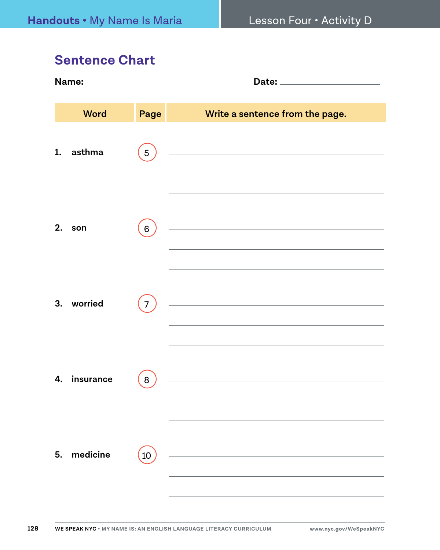#### **Sentence Chart**

|    | <b>Word</b> | Page | Write a sentence from the page.                                                                                                                                                                                                                                                                                                                         |  |  |  |  |
|----|-------------|------|---------------------------------------------------------------------------------------------------------------------------------------------------------------------------------------------------------------------------------------------------------------------------------------------------------------------------------------------------------|--|--|--|--|
| 1. | asthma      | 5    | <u> 1989 - Johann Barn, mars eta bainar eta bainar eta baina eta baina eta baina eta baina eta baina eta baina e</u>                                                                                                                                                                                                                                    |  |  |  |  |
| 2. | son         | 6    | <u> 1980 - Johann Barn, mars an t-Amerikaansk politiker (</u><br>the control of the control of the control of the control of the control of the control of                                                                                                                                                                                              |  |  |  |  |
|    | 3. worried  | 7    | the control of the control of the control of the control of the control of the control of the control of the control of the control of the control of the control of the control of the control of the control of the control<br><u> 1989 - Johann Barn, mars ann an t-Amhain Aonaich an t-Aonaich an t-Aonaich an t-Aonaich an t-Aonaich ann an t-</u> |  |  |  |  |
| 4. | insurance   | 8    | the control of the control of the control of the control of the control of                                                                                                                                                                                                                                                                              |  |  |  |  |
|    | 5. medicine | 10   | <u> 1980 - Johann Barbara, martxa al</u>                                                                                                                                                                                                                                                                                                                |  |  |  |  |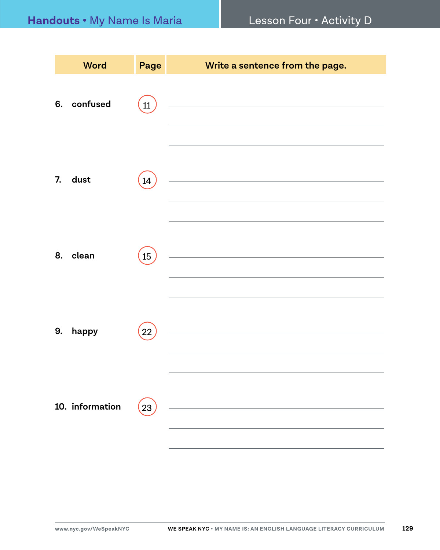|    | <b>Word</b>     | Page | Write a sentence from the page.                                                                                      |
|----|-----------------|------|----------------------------------------------------------------------------------------------------------------------|
| 6. | confused        | 11   | <u> 1980 - Johann Barbara, martxa alemaniar a</u>                                                                    |
| 7. | dust            | 14   | <u> 1989 - Johann Barbara, martxa al III-lea (h. 1974).</u>                                                          |
| 8. | clean           | 15   | <u> 1989 - Johann Barbara, martxa alemaniar a</u>                                                                    |
| 9. | happy           | 22   | <u> 1989 - Johann Barn, amerikansk politiker (d. 1989)</u>                                                           |
|    | 10. information | 23   | <u> 1980 - Johann Barn, mars ann an t-Amhain Aonaich an t-Aonaich an t-Aonaich ann an t-Aonaich ann an t-Aonaich</u> |